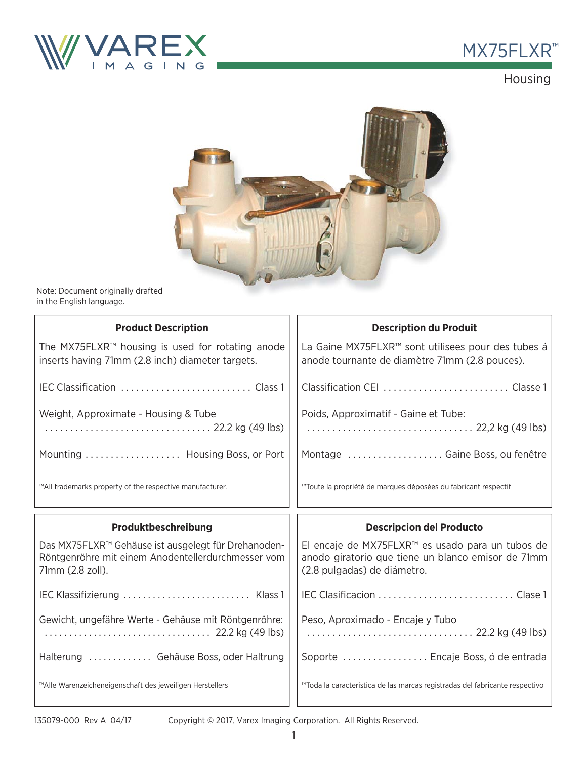



## Housing



Note: Document originally drafted in the English language.

| <b>Product Description</b>                                                                                                    | <b>Description du Produit</b>                                                                                                         |  |
|-------------------------------------------------------------------------------------------------------------------------------|---------------------------------------------------------------------------------------------------------------------------------------|--|
| The MX75FLXR™ housing is used for rotating anode<br>inserts having 71mm (2.8 inch) diameter targets.                          | La Gaine MX75FLXR™ sont utilisees pour des tubes á<br>anode tournante de diamètre 71mm (2.8 pouces).                                  |  |
|                                                                                                                               |                                                                                                                                       |  |
| Weight, Approximate - Housing & Tube<br>22.2 kg (49 lbs)                                                                      | Poids, Approximatif - Gaine et Tube:                                                                                                  |  |
| Mounting  Housing Boss, or Port                                                                                               | Montage Gaine Boss, ou fenêtre                                                                                                        |  |
| ™All trademarks property of the respective manufacturer.                                                                      | ™Toute la propriété de marques déposées du fabricant respectif                                                                        |  |
|                                                                                                                               |                                                                                                                                       |  |
| Produktbeschreibung                                                                                                           | <b>Descripcion del Producto</b>                                                                                                       |  |
| Das MX75FLXR™ Gehäuse ist ausgelegt für Drehanoden-<br>Röntgenröhre mit einem Anodentellerdurchmesser vom<br>71mm (2.8 zoll). | El encaje de MX75FLXR™ es usado para un tubos de<br>anodo giratorio que tiene un blanco emisor de 71mm<br>(2.8 pulgadas) de diámetro. |  |
|                                                                                                                               |                                                                                                                                       |  |
| Gewicht, ungefähre Werte - Gehäuse mit Röntgenröhre:                                                                          | Peso, Aproximado - Encaje y Tubo<br>22.2 kg (49 lbs)                                                                                  |  |
| Halterung  Gehäuse Boss, oder Haltrung                                                                                        | Soporte  Encaje Boss, ó de entrada                                                                                                    |  |

Copyright © 2017, Varex Imaging Corporation. All Rights Reserved.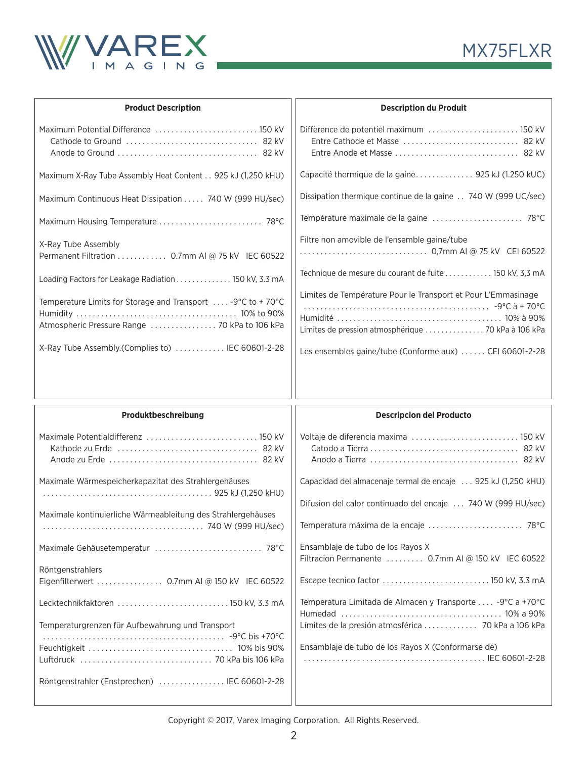



| <b>Product Description</b>                                             | <b>Description du Produit</b>                                                                                        |  |
|------------------------------------------------------------------------|----------------------------------------------------------------------------------------------------------------------|--|
| Maximum Potential Difference  150 kV                                   | Diffèrence de potentiel maximum  150 kV                                                                              |  |
| Maximum X-Ray Tube Assembly Heat Content 925 kJ (1,250 kHU)            |                                                                                                                      |  |
| Maximum Continuous Heat Dissipation  740 W (999 HU/sec)                | Dissipation thermique continue de la gaine 740 W (999 UC/sec)                                                        |  |
|                                                                        |                                                                                                                      |  |
| X-Ray Tube Assembly<br>Permanent Filtration 0.7mm AI @ 75 kV IEC 60522 | Filtre non amovible de l'ensemble gaine/tube                                                                         |  |
| Loading Factors for Leakage Radiation 150 kV, 3.3 mA                   | Technique de mesure du courant de fuite  150 kV, 3,3 mA                                                              |  |
| Temperature Limits for Storage and Transport $\ldots$ -9°C to +70°C    | Limites de Température Pour le Transport et Pour L'Emmasinage<br>Limites de pression atmosphérique  70 kPa à 106 kPa |  |
| X-Ray Tube Assembly. (Complies to)  IEC 60601-2-28                     | Les ensembles gaine/tube (Conforme aux)  CEI 60601-2-28                                                              |  |

| Produktbeschreibung                                          | <b>Descripcion del Producto</b>                                                         |  |
|--------------------------------------------------------------|-----------------------------------------------------------------------------------------|--|
|                                                              |                                                                                         |  |
| Maximale Wärmespeicherkapazitat des Strahlergehäuses         | Capacidad del almacenaje termal de encaje  925 kJ (1,250 kHU)                           |  |
|                                                              | Difusion del calor continuado del encaje  740 W (999 HU/sec)                            |  |
| Maximale kontinuierliche Wärmeableitung des Strahlergehäuses | Temperatura máxima de la encaje  78°C                                                   |  |
|                                                              | Ensamblaje de tubo de los Rayos X<br>Filtracion Permanente  0.7mm AI @ 150 kV IEC 60522 |  |
| Röntgenstrahlers                                             |                                                                                         |  |
|                                                              |                                                                                         |  |
| Lecktechnikfaktoren  150 kV, 3.3 mA                          | Temperatura Limitada de Almacen y Transporte  -9°C a +70°C                              |  |
| Temperaturgrenzen für Aufbewahrung und Transport             |                                                                                         |  |
|                                                              | Ensamblaje de tubo de los Rayos X (Conformarse de)                                      |  |
|                                                              |                                                                                         |  |
| Röntgenstrahler (Enstprechen)  IEC 60601-2-28                |                                                                                         |  |
|                                                              |                                                                                         |  |

Copyright © 2017, Varex Imaging Corporation. All Rights Reserved.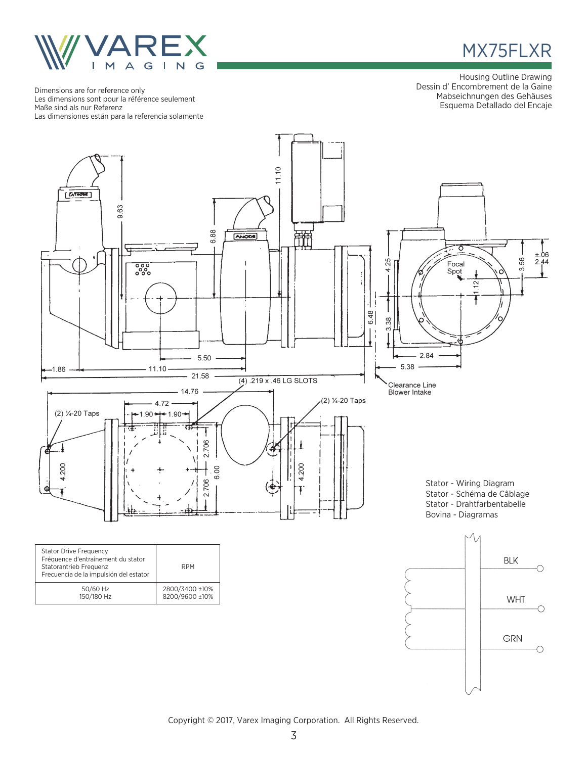

Dimensions are for reference only Les dimensions sont pour la référence seulement Maße sind als nur Referenz Las dimensiones están para la referencia solamente



Housing Outline Drawing Dessin d' Encombrement de la Gaine Mabseichnungen des Gehäuses Esquema Detallado del Encaje



Copyright © 2017, Varex Imaging Corporation. All Rights Reserved.